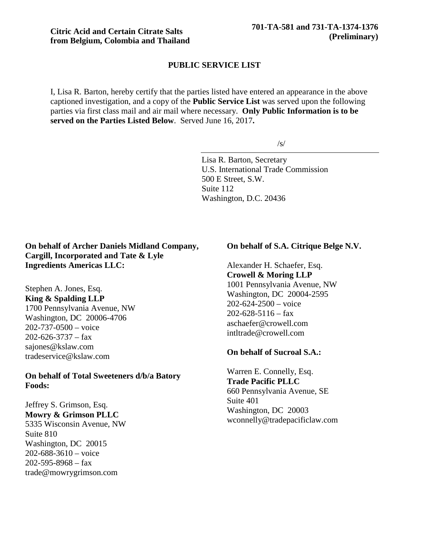#### **PUBLIC SERVICE LIST**

I, Lisa R. Barton, hereby certify that the parties listed have entered an appearance in the above captioned investigation, and a copy of the **Public Service List** was served upon the following parties via first class mail and air mail where necessary. **Only Public Information is to be served on the Parties Listed Below**. Served June 16, 2017**.**

/s/

Lisa R. Barton, Secretary U.S. International Trade Commission 500 E Street, S.W. Suite 112 Washington, D.C. 20436

## **On behalf of Archer Daniels Midland Company, Cargill, Incorporated and Tate & Lyle Ingredients Americas LLC:**

Stephen A. Jones, Esq. **King & Spalding LLP** 1700 Pennsylvania Avenue, NW Washington, DC 20006-4706 202-737-0500 – voice  $202 - 626 - 3737 - fax$ sajones@kslaw.com tradeservice@kslaw.com

#### **On behalf of Total Sweeteners d/b/a Batory Foods:**

Jeffrey S. Grimson, Esq. **Mowry & Grimson PLLC** 5335 Wisconsin Avenue, NW Suite 810 Washington, DC 20015  $202 - 688 - 3610 - \text{voice}$  $202 - 595 - 8968 - fax$ trade@mowrygrimson.com

#### **On behalf of S.A. Citrique Belge N.V.**

Alexander H. Schaefer, Esq. **Crowell & Moring LLP** 1001 Pennsylvania Avenue, NW Washington, DC 20004-2595 202-624-2500 – voice  $202 - 628 - 5116 - \text{fax}$ aschaefer@crowell.com intltrade@crowell.com

#### **On behalf of Sucroal S.A.:**

Warren E. Connelly, Esq. **Trade Pacific PLLC** 660 Pennsylvania Avenue, SE Suite 401 Washington, DC 20003 wconnelly@tradepacificlaw.com